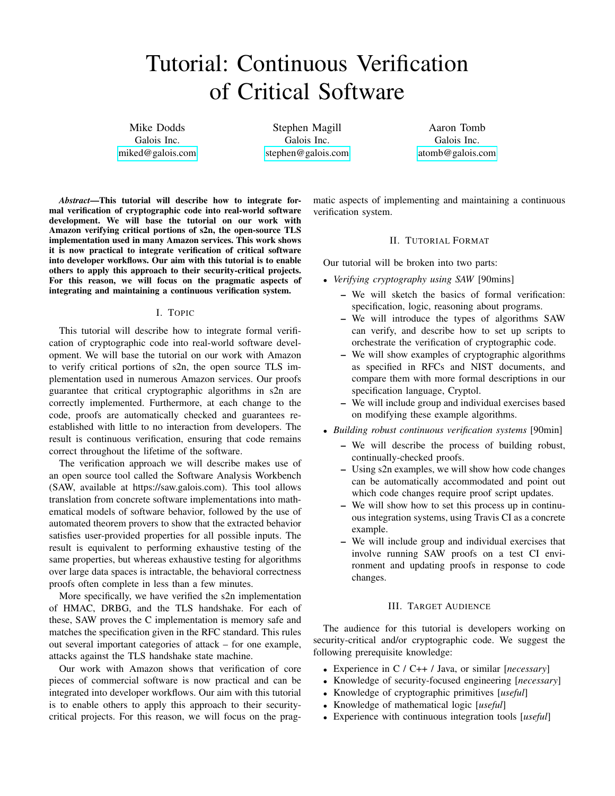# Tutorial: Continuous Verification of Critical Software

Mike Dodds Galois Inc. <miked@galois.com>

Stephen Magill Galois Inc. <stephen@galois.com>

Aaron Tomb Galois Inc. <atomb@galois.com>

*Abstract*—This tutorial will describe how to integrate formal verification of cryptographic code into real-world software development. We will base the tutorial on our work with Amazon verifying critical portions of s2n, the open-source TLS implementation used in many Amazon services. This work shows it is now practical to integrate verification of critical software into developer workflows. Our aim with this tutorial is to enable others to apply this approach to their security-critical projects. For this reason, we will focus on the pragmatic aspects of integrating and maintaining a continuous verification system.

#### I. TOPIC

This tutorial will describe how to integrate formal verification of cryptographic code into real-world software development. We will base the tutorial on our work with Amazon to verify critical portions of s2n, the open source TLS implementation used in numerous Amazon services. Our proofs guarantee that critical cryptographic algorithms in s2n are correctly implemented. Furthermore, at each change to the code, proofs are automatically checked and guarantees reestablished with little to no interaction from developers. The result is continuous verification, ensuring that code remains correct throughout the lifetime of the software.

The verification approach we will describe makes use of an open source tool called the Software Analysis Workbench (SAW, available at https://saw.galois.com). This tool allows translation from concrete software implementations into mathematical models of software behavior, followed by the use of automated theorem provers to show that the extracted behavior satisfies user-provided properties for all possible inputs. The result is equivalent to performing exhaustive testing of the same properties, but whereas exhaustive testing for algorithms over large data spaces is intractable, the behavioral correctness proofs often complete in less than a few minutes.

More specifically, we have verified the s2n implementation of HMAC, DRBG, and the TLS handshake. For each of these, SAW proves the C implementation is memory safe and matches the specification given in the RFC standard. This rules out several important categories of attack – for one example, attacks against the TLS handshake state machine.

Our work with Amazon shows that verification of core pieces of commercial software is now practical and can be integrated into developer workflows. Our aim with this tutorial is to enable others to apply this approach to their securitycritical projects. For this reason, we will focus on the pragmatic aspects of implementing and maintaining a continuous verification system.

#### II. TUTORIAL FORMAT

Our tutorial will be broken into two parts:

- *Verifying cryptography using SAW* [90mins]
	- We will sketch the basics of formal verification: specification, logic, reasoning about programs.
	- We will introduce the types of algorithms SAW can verify, and describe how to set up scripts to orchestrate the verification of cryptographic code.
	- We will show examples of cryptographic algorithms as specified in RFCs and NIST documents, and compare them with more formal descriptions in our specification language, Cryptol.
	- We will include group and individual exercises based on modifying these example algorithms.
- *Building robust continuous verification systems* [90min]
	- We will describe the process of building robust, continually-checked proofs.
	- Using s2n examples, we will show how code changes can be automatically accommodated and point out which code changes require proof script updates.
	- We will show how to set this process up in continuous integration systems, using Travis CI as a concrete example.
	- We will include group and individual exercises that involve running SAW proofs on a test CI environment and updating proofs in response to code changes.

### III. TARGET AUDIENCE

The audience for this tutorial is developers working on security-critical and/or cryptographic code. We suggest the following prerequisite knowledge:

- Experience in C / C++ / Java, or similar [*necessary*]
- Knowledge of security-focused engineering [*necessary*]
- Knowledge of cryptographic primitives [*useful*]
- Knowledge of mathematical logic [*useful*]
- Experience with continuous integration tools [*useful*]